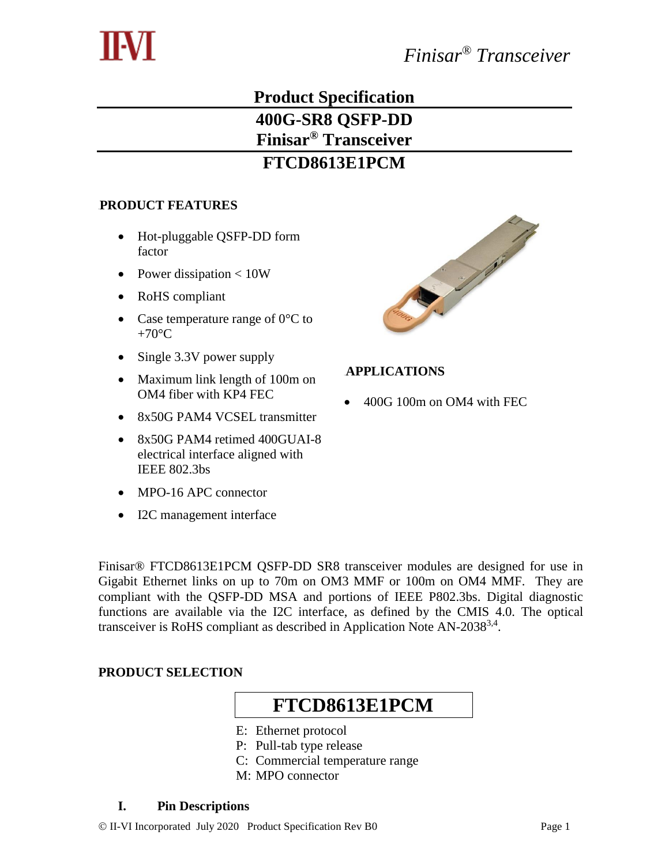

## **Product Specification 400G-SR8 QSFP-DD Finisar® Transceiver FTCD8613E1PCM**

### 9B**PRODUCT FEATURES**

- Hot-pluggable QSFP-DD form factor
- Power dissipation  $< 10W$
- RoHS compliant
- Case temperature range of  $0 \, \text{C}$  to +70 $\mathcal{C}$
- Single 3.3V power supply
- Maximum link length of 100m on OM4 fiber with KP4 FEC
- 8x50G PAM4 VCSEL transmitter
- 8x50G PAM4 retimed 400GUAI-8 electrical interface aligned with IEEE 802.3bs
- MPO-16 APC connector
- I2C management interface



### 10B**APPLICATIONS**

400G 100m on OM4 with FEC

Finisar® FTCD8613E1PCM QSFP-DD SR8 transceiver modules are designed for use in Gigabit Ethernet links on up to 70m on OM3 MMF or 100m on OM4 MMF. They are compliant with the QSFP-DD MSA and portions of IEEE P802.3bs. Digital diagnostic functions are available via the I2C interface, as defined by the CMIS 4.0. The optical transceiver is RoHS compliant as described in Application Note AN-2038<sup>3,4</sup>.

#### **PRODUCT SELECTION**

# **FTCD8613E1PCM**

- E: Ethernet protocol
- P: Pull-tab type release
- C: Commercial temperature range
- M: MPO connector

#### **I. Pin Descriptions**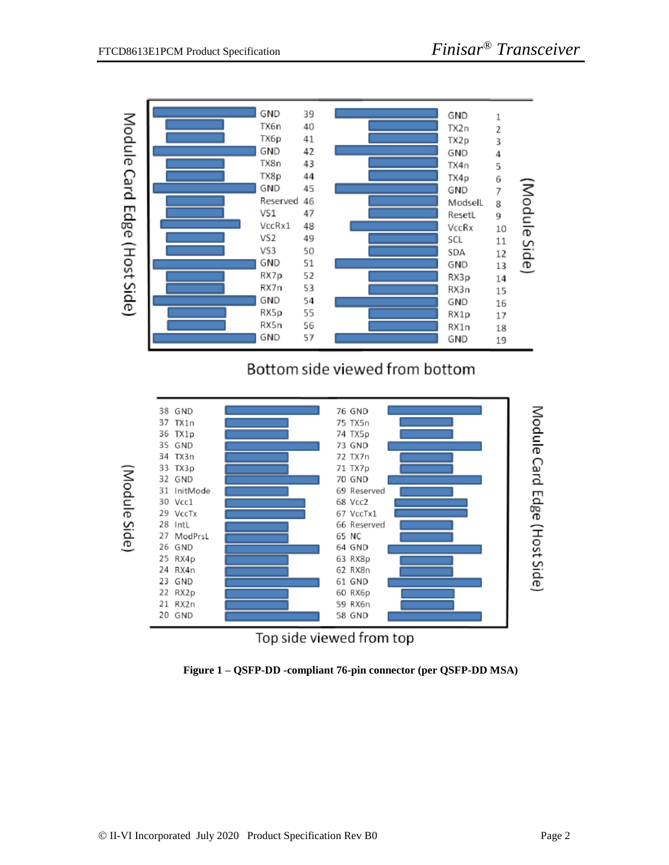

## Bottom side viewed from bottom





**Figure 1 – QSFP-DD -compliant 76-pin connector (per QSFP-DD MSA)**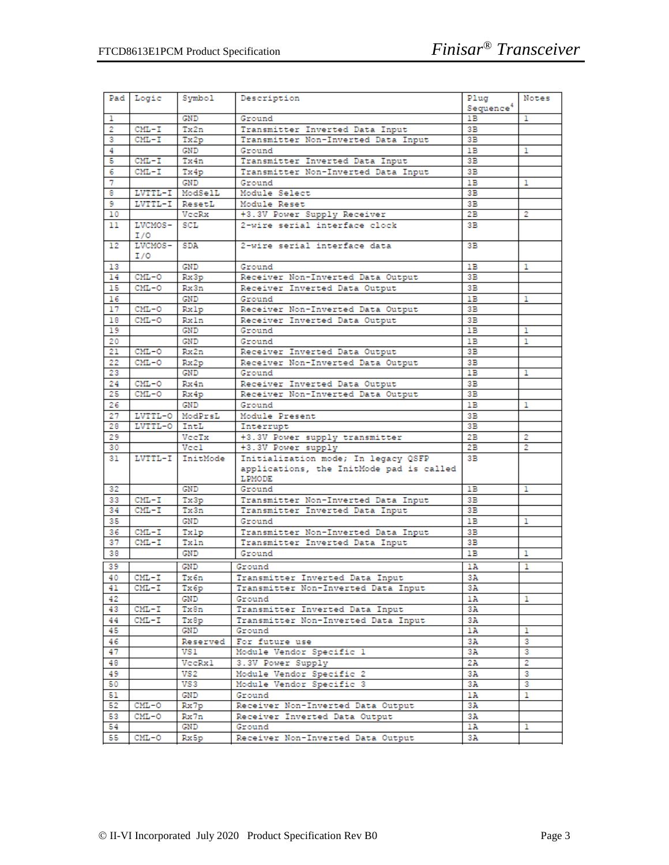|    | Pad Logic      | Symbol     | Description                                               | Plug                  | Notes  |
|----|----------------|------------|-----------------------------------------------------------|-----------------------|--------|
|    |                |            |                                                           | Sequence <sup>4</sup> |        |
| ı  |                | GND        | Ground                                                    | 1B                    | 1      |
| 2  | $CML-T$        | Tx2n       | Transmitter Inverted Data Input                           | 3B                    |        |
| 3  | CML-I          | Tx2p       | Transmitter Non-Inverted Data Input                       | 3B                    |        |
| 4  |                | GND        | Ground                                                    | 1B                    | 1      |
| 5  | $CML-T$        | Tx4n       | Transmitter Inverted Data Input                           | 3B                    |        |
| 6  | CML-I          | Tx4p       | Transmitter Non-Inverted Data Input                       | 3В                    |        |
| 7  |                | GND        | Ground                                                    | 1B                    | 1      |
| 8  | LVTTL-I        | ModSelL    | Module Select                                             | 3B                    |        |
| 9  | LVTTL-I        | ResetL     | Module Reset                                              | 3B                    |        |
| 10 |                | VeeRx      | +3.3V Power Supply Receiver                               | 2B                    | 2      |
| 11 | LVCMOS-<br>I/O | <b>SCL</b> | 2-wire serial interface clock                             | 3В.                   |        |
| 12 | LVCMOS-        | SDA        | 2-wire serial interface data                              | 3В                    |        |
|    | I/O            |            |                                                           |                       |        |
| 13 |                | GND        | Ground                                                    | 1B                    | ı      |
| 14 | $CML-O$        | Rx3p       | Receiver Non-Inverted Data Output                         | 3B                    |        |
| 15 | CML-0          | Rx3n       | Receiver Inverted Data Output                             | 3B                    |        |
| 16 |                | GND        | Ground                                                    | 1B                    | ı      |
| 17 | CML-O          | Rxlp       | Receiver Non-Inverted Data Output                         | 3B                    |        |
| 18 | $CML-O$        | Rxln       | Receiver Inverted Data Output                             | 3В                    |        |
| 19 |                | GND        | Ground                                                    | 1B                    | ı      |
| 20 |                | <b>GND</b> | Ground                                                    | 1B                    | ı      |
| 21 | $CML-O$        | Rx2n       | Receiver Inverted Data Output                             | 3B                    |        |
| 22 | $CML-O$        | Rx2p       | Receiver Non-Inverted Data Output                         | 3B                    |        |
| 23 |                | GND        | Ground                                                    | 1B                    | 1      |
| 24 | $CML-O$        | Rx4n       | Receiver Inverted Data Output                             | 3B                    |        |
| 25 | $CML-O$        | Rx4p       | Receiver Non-Inverted Data Output                         | 3B                    |        |
| 26 |                | GND        | Ground                                                    | 1B                    | 1      |
| 27 | LVTTL-0        | ModPrsL    | Module Present                                            | 3B                    |        |
| 28 | LVTTL-0        | IntL       | Interrupt                                                 | 3B                    |        |
| 29 |                | VeeTx      | +3.3V Power supply transmitter                            | 2B                    | 2      |
| 30 |                | Vccl       | +3.3V Power supply                                        | 2B                    | 2      |
| 31 | LVTTL-I        | InitMode   | Initialization mode; In legacy QSFP                       | 3B                    |        |
|    |                |            | applications, the InitMode pad is called<br><b>LPMODE</b> |                       |        |
| 32 |                | GND        | Ground                                                    | 1B                    | ı      |
| 33 | $CML-T$        | Tx3p       | Transmitter Non-Inverted Data Input                       | 3B                    |        |
| 34 | $CML-T$        | Tx3n       | Transmitter Inverted Data Input                           | 3B                    |        |
| 35 |                | GND        | Ground                                                    | 1B                    | ı      |
| 36 | $CML-T$        | Txlp       | Transmitter Non-Inverted Data Input                       | 3В                    |        |
| 37 | $CML-T$        | Txln       | Transmitter Inverted Data Input                           | 3В                    |        |
| 38 |                | GND        | Ground                                                    | 1B                    | 1      |
| 39 |                | GND        | Ground                                                    | 1A                    | ı      |
| 40 | $CML-T$        | Tx6n       | Transmitter Inverted Data Input                           | 3A                    |        |
| 41 | $CML - I$      | Тх бр      | Transmitter Non-Inverted Data Input                       | 3А                    |        |
| 42 |                | GND        | Ground                                                    | 1A                    | ı      |
| 43 | $CML-T$        | Tx8n       | Transmitter Inverted Data Input                           | 3A                    |        |
| 44 | $CML-T$        | Tx8p       | Transmitter Non-Inverted Data Input                       | 3A                    |        |
| 45 |                | GND        | Ground                                                    | 1A                    | 1      |
| 46 |                | Reserved   | For future use                                            | 3А                    | з      |
| 47 |                |            |                                                           |                       |        |
| 48 |                | VS 1       | Module Vendor Specific 1<br>3.3V Power Supply             | 3A<br>2A              | з<br>2 |
|    |                | VecRx1     | Module Vendor Specific 2                                  |                       | 3      |
| 49 |                | VS 2       |                                                           | 3A                    |        |
| 50 |                | VS3        | Module Vendor Specific 3                                  | 3А                    | з      |
| 51 |                | GND        | Ground                                                    | 1A                    | ı      |
| 52 | $CML-O$        | Rx7p       | Receiver Non-Inverted Data Output                         | 3А                    |        |
| 53 | CML-0          | Rx7n       | Receiver Inverted Data Output                             | 3А                    |        |
| 54 |                | GND        | Ground                                                    | 1A                    | ı      |
| 55 | $CML-0$        | Rx5p       | Receiver Non-Inverted Data Output                         | 3А                    |        |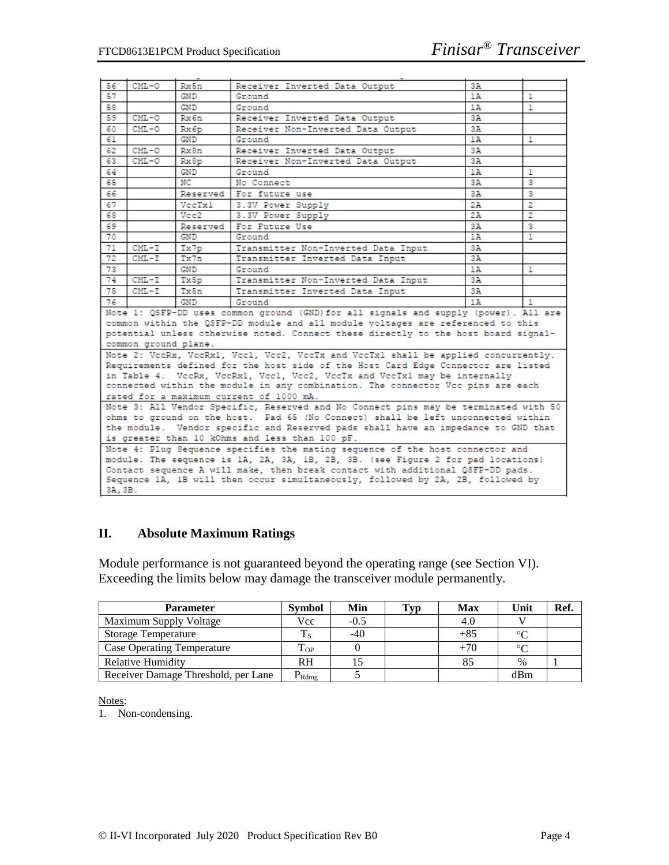| 56                                                                                                         | CML-O                                                                                | Rx5n     | Receiver Inverted Data Output                                                      | 3A  |              |  |  |
|------------------------------------------------------------------------------------------------------------|--------------------------------------------------------------------------------------|----------|------------------------------------------------------------------------------------|-----|--------------|--|--|
| 57                                                                                                         |                                                                                      | GND      | Ground                                                                             | 1 A | 1            |  |  |
| 58                                                                                                         |                                                                                      | GND      | Ground                                                                             | 1A  | $\mathbf{1}$ |  |  |
| 59                                                                                                         | $CML-O$                                                                              | Rx6n     | Receiver Inverted Data Output                                                      | 3А  |              |  |  |
| 60                                                                                                         | $CML-O$                                                                              | Rx6p     | Receiver Non-Inverted Data Output                                                  | 3А  |              |  |  |
| 61                                                                                                         |                                                                                      | GND      | Ground                                                                             | 1A  | $\mathbf{1}$ |  |  |
| 62                                                                                                         | $CML-O$                                                                              | Rx8n     | Receiver Inverted Data Output                                                      | 3А  |              |  |  |
| 63                                                                                                         | $CML-O$                                                                              | Rx8p     | Receiver Non-Inverted Data Output                                                  | 3A  |              |  |  |
| 64                                                                                                         |                                                                                      | GND      | Ground                                                                             | 1 A | 1            |  |  |
| 65                                                                                                         |                                                                                      | NC       | No Connect                                                                         | 3A  | 3            |  |  |
| 66                                                                                                         |                                                                                      | Reserved | For future use                                                                     | 3A  | з            |  |  |
| 67                                                                                                         |                                                                                      | VeeTx1   | 3.3V Power Supply                                                                  | 2A  | 2            |  |  |
| 68                                                                                                         |                                                                                      | Vee2     | 3.3V Power Supply                                                                  | 2A  | 2            |  |  |
| 69                                                                                                         |                                                                                      | Reserved | For Future Use                                                                     | 3A  | 3            |  |  |
| 70                                                                                                         |                                                                                      | GND      | Ground                                                                             | 1A  | 1            |  |  |
| 71                                                                                                         | $CML-T$                                                                              | Tx7p     | Transmitter Non-Inverted Data Input                                                | 3А  |              |  |  |
| 72                                                                                                         | $CML-T$                                                                              | Tx7n     | Transmitter Inverted Data Input                                                    | 3А  |              |  |  |
| 73                                                                                                         |                                                                                      | GND      | Ground                                                                             | 1A  | 1            |  |  |
| 74                                                                                                         | $CML-T$                                                                              | Tx5p     | Transmitter Non-Inverted Data Input                                                | 3А  |              |  |  |
| 75                                                                                                         | $CML-T$                                                                              | Tx5n     | Transmitter Inverted Data Input                                                    | 3А  |              |  |  |
| 76                                                                                                         |                                                                                      | GND      | Ground<br>1A<br>$\mathbf{1}$                                                       |     |              |  |  |
|                                                                                                            | Note 1: QSFP-DD uses common ground (GND) for all signals and supply (power). All are |          |                                                                                    |     |              |  |  |
| common within the QSFP-DD module and all module voltages are referenced to this                            |                                                                                      |          |                                                                                    |     |              |  |  |
|                                                                                                            |                                                                                      |          | potential unless otherwise noted. Connect these directly to the host board signal- |     |              |  |  |
|                                                                                                            |                                                                                      |          |                                                                                    |     |              |  |  |
| common ground plane.<br>Note 2: VecRx, VecRxl, Vecl, Vec2, VecTx and VecTxl shall be applied concurrently. |                                                                                      |          |                                                                                    |     |              |  |  |
|                                                                                                            |                                                                                      |          | Requirements defined for the host side of the Host Card Edge Connector are listed  |     |              |  |  |
|                                                                                                            |                                                                                      |          | in Table 4. VecRx, VecRx1, Vec1, Vec2, VecTx and VecTx1 may be internally          |     |              |  |  |
|                                                                                                            |                                                                                      |          | connected within the module in any combination. The connector Vcc pins are each    |     |              |  |  |
| rated for a maximum current of 1000 mA.                                                                    |                                                                                      |          |                                                                                    |     |              |  |  |
|                                                                                                            | Note 3: All Vendor Specific, Reserved and No Connect pins may be terminated with 50  |          |                                                                                    |     |              |  |  |
| ohms to ground on the host. Pad 65 (No Connect) shall be left unconnected within                           |                                                                                      |          |                                                                                    |     |              |  |  |
| the module. Vendor specific and Reserved pads shall have an impedance to GND that                          |                                                                                      |          |                                                                                    |     |              |  |  |
| is greater than 10 kOhms and less than 100 pF.                                                             |                                                                                      |          |                                                                                    |     |              |  |  |
|                                                                                                            | Note 4: Plug Sequence specifies the mating sequence of the host connector and        |          |                                                                                    |     |              |  |  |
| module. The sequence is 1A, 2A, 3A, 1B, 2B, 3B. (see Figure 2 for pad locations)                           |                                                                                      |          |                                                                                    |     |              |  |  |
|                                                                                                            |                                                                                      |          | Contact sequence A will make, then break contact with additional QSFP-DD pads.     |     |              |  |  |
|                                                                                                            |                                                                                      |          | Sequence 1A, 1B will then occur simultaneously, followed by 2A, 2B, followed by    |     |              |  |  |
| 3A, 3B.                                                                                                    |                                                                                      |          |                                                                                    |     |              |  |  |
|                                                                                                            |                                                                                      |          |                                                                                    |     |              |  |  |

#### **II. Absolute Maximum Ratings**

Module performance is not guaranteed beyond the operating range (see Section VI). Exceeding the limits below may damage the transceiver module permanently.

| <b>Parameter</b>                    | <b>Symbol</b>       | Min    | <b>Typ</b> | <b>Max</b> | Unit   | Ref. |
|-------------------------------------|---------------------|--------|------------|------------|--------|------|
| <b>Maximum Supply Voltage</b>       | Vcc                 | $-0.5$ |            | 4.0        |        |      |
| <b>Storage Temperature</b>          |                     | $-40$  |            | $+85$      | $\sim$ |      |
| <b>Case Operating Temperature</b>   | $\mathrm{T_{OP}}$   |        |            | $+70$      | $\sim$ |      |
| Relative Humidity                   | <b>RH</b>           |        |            |            | %      |      |
| Receiver Damage Threshold, per Lane | $\mathrm{P_{Rdmg}}$ |        |            |            | dBm    |      |

Notes:

1. Non-condensing.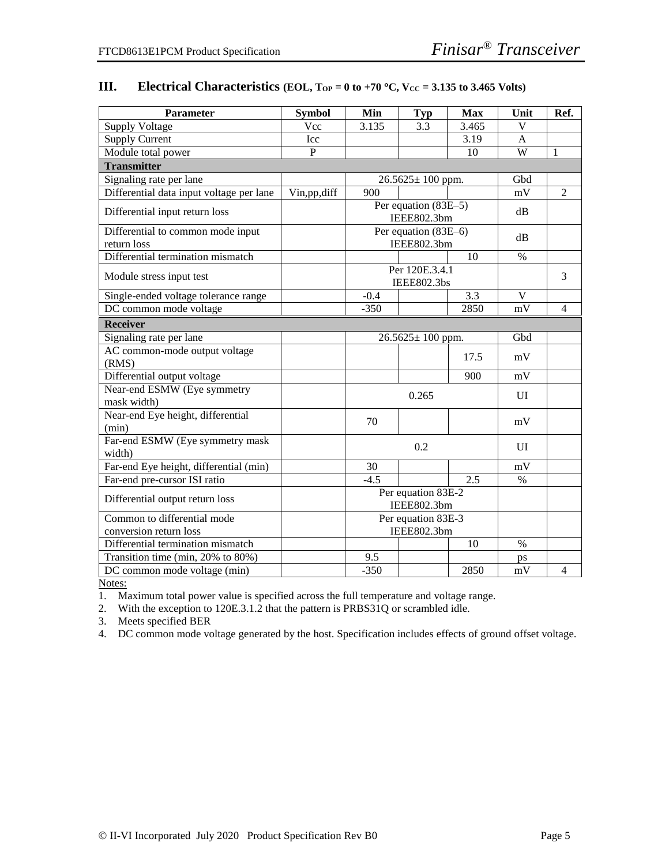| Parameter                                        | <b>Symbol</b> | Min                               | <b>Typ</b>                          | <b>Max</b>       | Unit           | Ref.           |
|--------------------------------------------------|---------------|-----------------------------------|-------------------------------------|------------------|----------------|----------------|
| <b>Supply Voltage</b>                            | Vcc           | 3.135                             | 3.3                                 | 3.465            | $\overline{V}$ |                |
| <b>Supply Current</b>                            | Icc           |                                   |                                     | 3.19             | A              |                |
| Module total power                               | $\mathbf{P}$  |                                   |                                     | 10               | W              | $\mathbf{1}$   |
| <b>Transmitter</b>                               |               |                                   |                                     |                  |                |                |
| Signaling rate per lane                          |               |                                   | $26.5625 \pm 100$ ppm.              |                  | Gbd            |                |
| Differential data input voltage per lane         | Vin,pp,diff   | 900                               |                                     |                  | mV             | $\overline{2}$ |
| Differential input return loss                   |               |                                   | Per equation (83E-5)<br>IEEE802.3bm |                  | dB             |                |
| Differential to common mode input<br>return loss |               |                                   | Per equation (83E-6)<br>IEEE802.3bm |                  | dB             |                |
| Differential termination mismatch                |               |                                   |                                     | 10               | $\%$           |                |
| Module stress input test                         |               |                                   | Per 120E.3.4.1<br>IEEE802.3bs       |                  |                | 3              |
| Single-ended voltage tolerance range             |               | $-0.4$                            |                                     | $\overline{3.3}$ | $\mathbf{V}$   |                |
| DC common mode voltage                           |               | $-350$                            |                                     | 2850             | mV             | $\overline{4}$ |
| <b>Receiver</b>                                  |               |                                   |                                     |                  |                |                |
| Signaling rate per lane                          |               |                                   | $26.5625 \pm 100$ ppm.              |                  | Gbd            |                |
| AC common-mode output voltage<br>(RMS)           |               |                                   |                                     | 17.5             | mV             |                |
| Differential output voltage                      |               |                                   |                                     | 900              | mV             |                |
| Near-end ESMW (Eye symmetry<br>mask width)       |               |                                   | 0.265                               |                  | UI             |                |
| Near-end Eye height, differential<br>(min)       |               | 70                                |                                     |                  | mV             |                |
| Far-end ESMW (Eye symmetry mask<br>width)        |               |                                   | 0.2                                 |                  |                |                |
| Far-end Eye height, differential (min)           |               | 30                                |                                     |                  | mV             |                |
| Far-end pre-cursor ISI ratio                     |               | $-4.5$                            |                                     | 2.5              | $\%$           |                |
| Differential output return loss                  |               | Per equation 83E-2<br>IEEE802.3bm |                                     |                  |                |                |
| Common to differential mode                      |               | Per equation 83E-3                |                                     |                  |                |                |
| conversion return loss                           |               |                                   | IEEE802.3bm                         |                  |                |                |
| Differential termination mismatch                |               |                                   |                                     | 10               | $\%$           |                |
| Transition time (min, 20% to 80%)                |               | 9.5                               |                                     |                  | ps             |                |
| DC common mode voltage $\overline{\text{(min)}}$ |               | $-350$                            |                                     | 2850             | mV             | 4              |

#### **III. Electrical Characteristics** (**EOL, T**<sub>OP</sub> = 0 to +70 °C,  $V_{CC}$  = 3.135 to 3.465 Volts)

Notes:

1. Maximum total power value is specified across the full temperature and voltage range.

2. With the exception to 120E.3.1.2 that the pattern is PRBS31Q or scrambled idle.

3. Meets specified BER

4. DC common mode voltage generated by the host. Specification includes effects of ground offset voltage.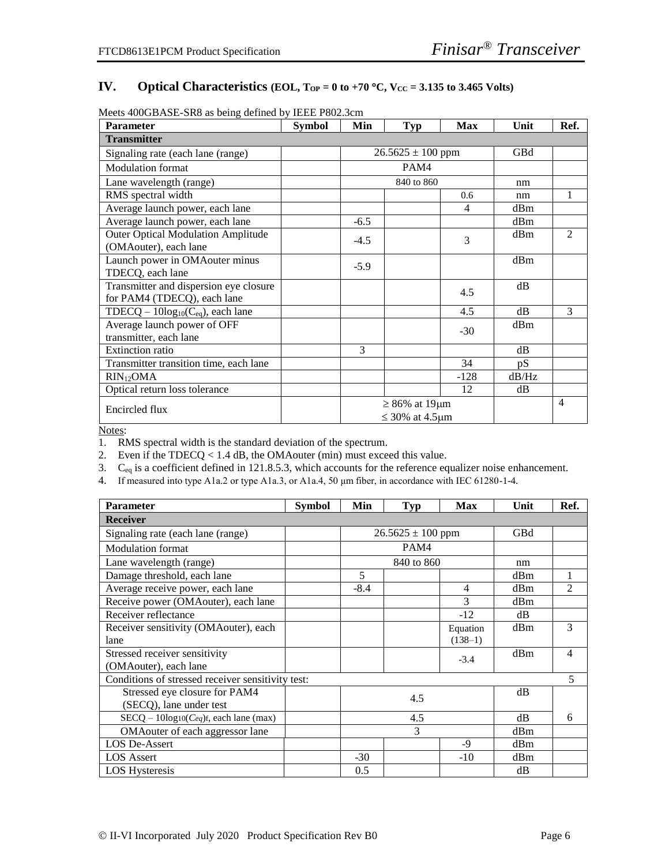#### IV. **Optical Characteristics** (EOL,  $T_{OP} = 0$  to +70 °C,  $V_{CC} = 3.135$  to 3.465 Volts)

| <b>Parameter</b>                          | <b>Symbol</b> | Min                   | <b>Typ</b>                | <b>Max</b> | Unit       | Ref.           |
|-------------------------------------------|---------------|-----------------------|---------------------------|------------|------------|----------------|
| <b>Transmitter</b>                        |               |                       |                           |            |            |                |
| Signaling rate (each lane (range)         |               | $26.5625 \pm 100$ ppm |                           |            | <b>GBd</b> |                |
| <b>Modulation</b> format                  |               |                       | PAM4                      |            |            |                |
| Lane wavelength (range)                   |               |                       | 840 to 860                |            | nm         |                |
| RMS spectral width                        |               |                       |                           | 0.6        | nm         | 1              |
| Average launch power, each lane           |               |                       |                           | 4          | dBm        |                |
| Average launch power, each lane           |               | $-6.5$                |                           |            | dBm        |                |
| <b>Outer Optical Modulation Amplitude</b> |               | $-4.5$                |                           | 3          | dBm        | $\mathfrak{D}$ |
| (OMAouter), each lane                     |               |                       |                           |            |            |                |
| Launch power in OMAouter minus            |               | $-5.9$                |                           |            | dBm        |                |
| TDECQ, each lane                          |               |                       |                           |            |            |                |
| Transmitter and dispersion eye closure    |               |                       |                           | 4.5        | dB         |                |
| for PAM4 (TDECQ), each lane               |               |                       |                           |            |            |                |
| TDECQ – $10\log_{10}(C_{eq})$ , each lane |               |                       |                           | 4.5        | dB         | $\mathcal{R}$  |
| Average launch power of OFF               |               |                       |                           | $-30$      | dBm        |                |
| transmitter, each lane                    |               |                       |                           |            |            |                |
| <b>Extinction ratio</b>                   |               | 3                     |                           |            | dB         |                |
| Transmitter transition time, each lane    |               |                       |                           | 34         | pS         |                |
| $RIN_{12}OMA$                             |               |                       |                           | $-128$     | dB/Hz      |                |
| Optical return loss tolerance             |               |                       |                           | 12         | dB         |                |
| Encircled flux                            |               | $\geq 86\%$ at 19µm   |                           |            |            | $\overline{4}$ |
|                                           |               |                       | $\leq$ 30% at 4.5 $\mu$ m |            |            |                |

Meets 400GBASE-SR8 as being defined by IEEE P802.3cm

Notes:

1. RMS spectral width is the standard deviation of the spectrum.

2. Even if the TDECQ < 1.4 dB, the OMAouter (min) must exceed this value.

3.  $C_{eq}$  is a coefficient defined in 121.8.5.3, which accounts for the reference equalizer noise enhancement.

4. If measured into type A1a.2 or type A1a.3, or A1a.4, 50 μm fiber, in accordance with IEC 61280-1-4.

| <b>Parameter</b>                                  | <b>Symbol</b> | Min                   | Typ        | <b>Max</b>     | Unit | Ref.           |
|---------------------------------------------------|---------------|-----------------------|------------|----------------|------|----------------|
| <b>Receiver</b>                                   |               |                       |            |                |      |                |
| Signaling rate (each lane (range)                 |               | $26.5625 \pm 100$ ppm |            |                | GBd  |                |
| <b>Modulation</b> format                          |               |                       | PAM4       |                |      |                |
| Lane wavelength (range)                           |               |                       | 840 to 860 |                | nm   |                |
| Damage threshold, each lane                       |               | 5                     |            |                | dBm  |                |
| Average receive power, each lane                  |               | $-8.4$                |            | $\overline{4}$ | dBm  | $\mathfrak{D}$ |
| Receive power (OMAouter), each lane               |               |                       |            | 3              | dBm  |                |
| Receiver reflectance                              |               |                       |            | $-12$          | dB   |                |
| Receiver sensitivity (OMAouter), each             |               |                       |            | Equation       | dBm  | 3              |
| lane                                              |               |                       |            | $(138-1)$      |      |                |
| Stressed receiver sensitivity                     |               |                       |            | $-3.4$         | dBm  | 4              |
| (OMAouter), each lane                             |               |                       |            |                |      |                |
| Conditions of stressed receiver sensitivity test: |               |                       |            |                |      | 5              |
| Stressed eye closure for PAM4                     |               | 4.5                   |            |                | dB   |                |
| (SECQ), lane under test                           |               |                       |            |                |      |                |
| $SECQ - 10log10(Ceq)$ f, each lane (max)          |               | 4.5                   |            | dB             | 6    |                |
| OMA outer of each aggressor lane                  |               | 3                     |            |                | dBm  |                |
| <b>LOS De-Assert</b>                              |               |                       |            | -9             | dBm  |                |
| <b>LOS</b> Assert                                 |               | $-30$                 |            | $-10$          | dBm  |                |
| <b>LOS Hysteresis</b>                             |               | 0.5                   |            |                | dB   |                |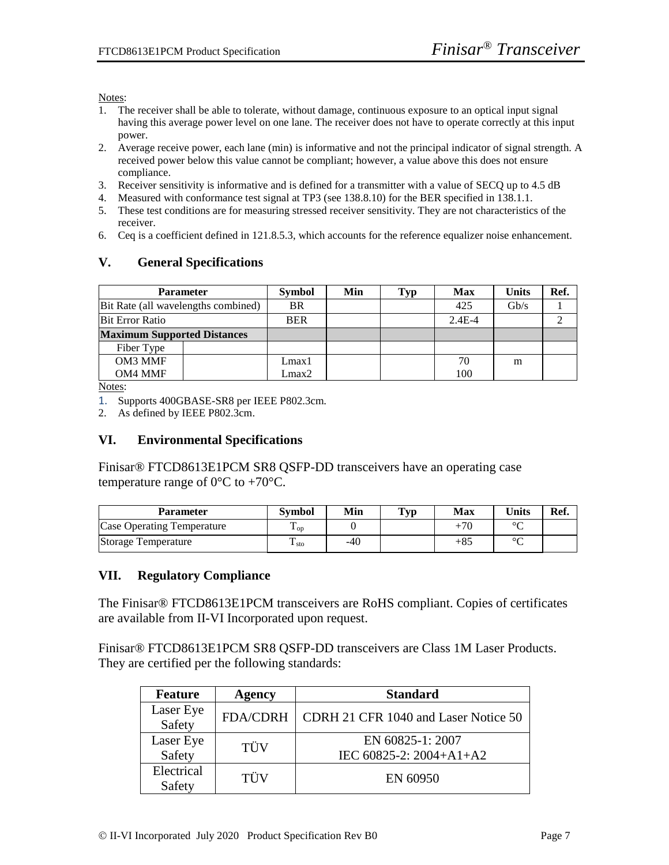Notes:

- 1. The receiver shall be able to tolerate, without damage, continuous exposure to an optical input signal having this average power level on one lane. The receiver does not have to operate correctly at this input power.
- 2. Average receive power, each lane (min) is informative and not the principal indicator of signal strength. A received power below this value cannot be compliant; however, a value above this does not ensure compliance.
- 3. Receiver sensitivity is informative and is defined for a transmitter with a value of SECQ up to 4.5 dB
- 4. Measured with conformance test signal at TP3 (see 138.8.10) for the BER specified in 138.1.1.
- 5. These test conditions are for measuring stressed receiver sensitivity. They are not characteristics of the receiver.
- 6. Ceq is a coefficient defined in 121.8.5.3, which accounts for the reference equalizer noise enhancement.

#### **V. General Specifications**

| <b>Parameter</b>                    | <b>Symbol</b> | Min       | Typ | <b>Max</b> | <b>Units</b> | Ref.            |  |
|-------------------------------------|---------------|-----------|-----|------------|--------------|-----------------|--|
| Bit Rate (all wavelengths combined) |               | <b>BR</b> |     |            | 425          | $\mathrm{Gb/s}$ |  |
| <b>Bit Error Ratio</b>              | <b>BER</b>    |           |     | $2.4E-4$   |              |                 |  |
| <b>Maximum Supported Distances</b>  |               |           |     |            |              |                 |  |
| Fiber Type                          |               |           |     |            |              |                 |  |
| OM3 MMF                             |               | Lmax1     |     |            | 70           | m               |  |
| OM4 MMF                             |               | Lmax2     |     |            | 100          |                 |  |

Notes:

1. Supports 400GBASE-SR8 per IEEE P802.3cm.

2. As defined by IEEE P802.3cm.

#### **VI. Environmental Specifications**

Finisar® FTCD8613E1PCM SR8 QSFP-DD transceivers have an operating case temperature range of  $0 \, \text{C}$  to +70  $\text{C}$ .

| Parameter                         | <b>Symbol</b>        | Min | Tvp | Max | <b>Units</b> | Ref. |
|-----------------------------------|----------------------|-----|-----|-----|--------------|------|
| <b>Case Operating Temperature</b> | ᠇᠇<br>$\triangle$ OD |     |     |     | $\sim$       |      |
| Storage Temperature               | Ē<br>1 sto           | -40 |     | +8: | $\sim$       |      |

#### **VII. Regulatory Compliance**

The Finisar® FTCD8613E1PCM transceivers are RoHS compliant. Copies of certificates are available from II-VI Incorporated upon request.

Finisar® FTCD8613E1PCM SR8 QSFP-DD transceivers are Class 1M Laser Products. They are certified per the following standards:

| <b>Feature</b>       | Agency          | <b>Standard</b>                             |
|----------------------|-----------------|---------------------------------------------|
| Laser Eye<br>Safety  | <b>FDA/CDRH</b> | CDRH 21 CFR 1040 and Laser Notice 50        |
| Laser Eye<br>Safety  | TÜV             | EN 60825-1: 2007<br>IEC 60825-2: 2004+A1+A2 |
| Electrical<br>Safety | TÜV             | EN 60950                                    |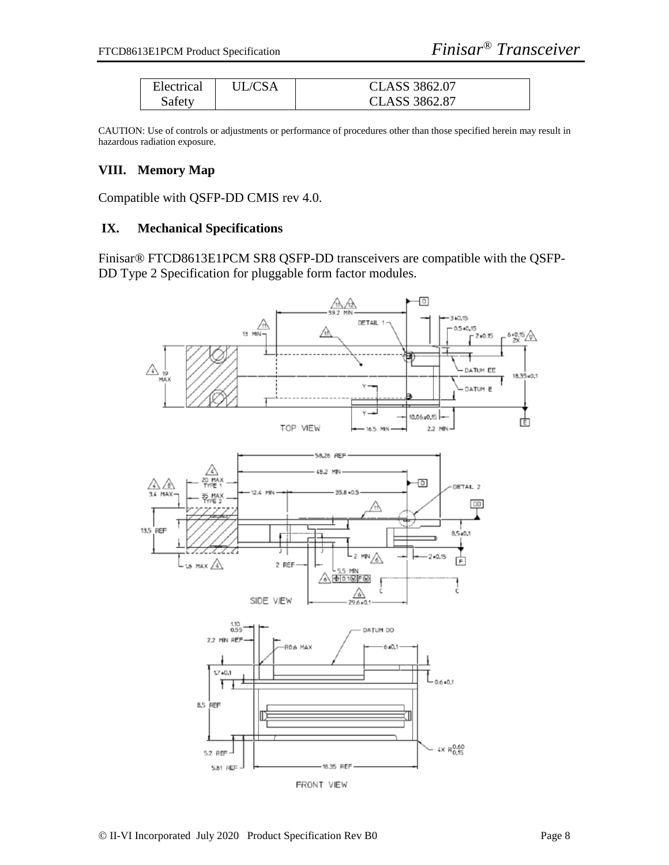| Electrical | 'IL/CSA | CLASS 3862.07 |
|------------|---------|---------------|
| Safety     |         | CLASS 3862.87 |

CAUTION: Use of controls or adjustments or performance of procedures other than those specified herein may result in hazardous radiation exposure.

#### **VIII. Memory Map**

Compatible with QSFP-DD CMIS rev 4.0.

#### **IX. Mechanical Specifications**

Finisar® FTCD8613E1PCM SR8 QSFP-DD transceivers are compatible with the QSFP-DD Type 2 Specification for pluggable form factor modules.

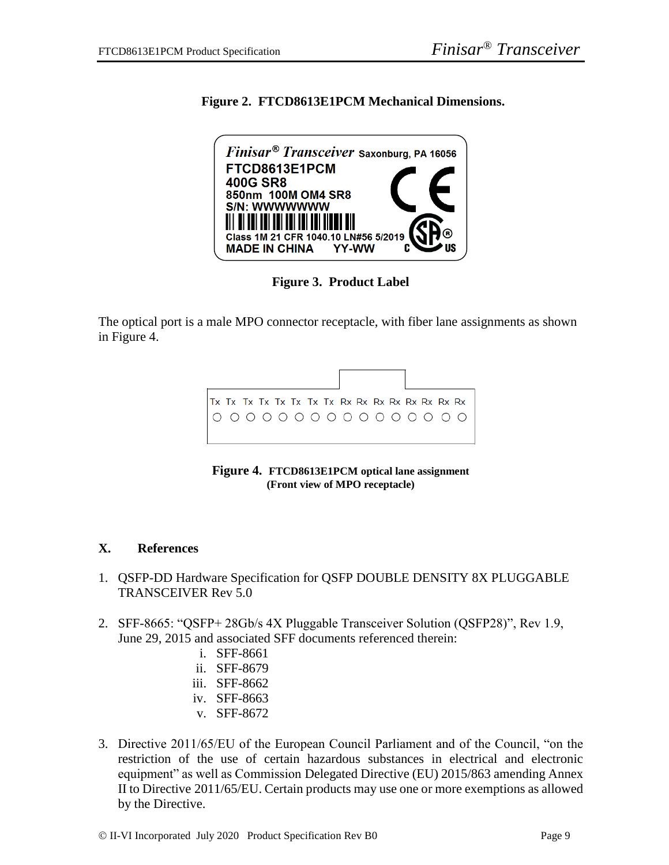**Figure 2. FTCD8613E1PCM Mechanical Dimensions.**



**Figure 3. Product Label**

The optical port is a male MPO connector receptacle, with fiber lane assignments as shown in Figure 4.



**Figure 4. FTCD8613E1PCM optical lane assignment (Front view of MPO receptacle)**

#### **X. References**

- 1. QSFP-DD Hardware Specification for QSFP DOUBLE DENSITY 8X PLUGGABLE TRANSCEIVER Rev 5.0
- 2. SFF-8665: "QSFP+ 28Gb/s 4X Pluggable Transceiver Solution (QSFP28)", Rev 1.9, June 29, 2015 and associated SFF documents referenced therein:
	- i. SFF-8661
	- ii. SFF-8679
	- iii. SFF-8662
	- iv. SFF-8663
	- v. SFF-8672
- 3. Directive 2011/65/EU of the European Council Parliament and of the Council, "on the restriction of the use of certain hazardous substances in electrical and electronic equipment" as well as Commission Delegated Directive (EU) 2015/863 amending Annex II to Directive 2011/65/EU. Certain products may use one or more exemptions as allowed by the Directive.